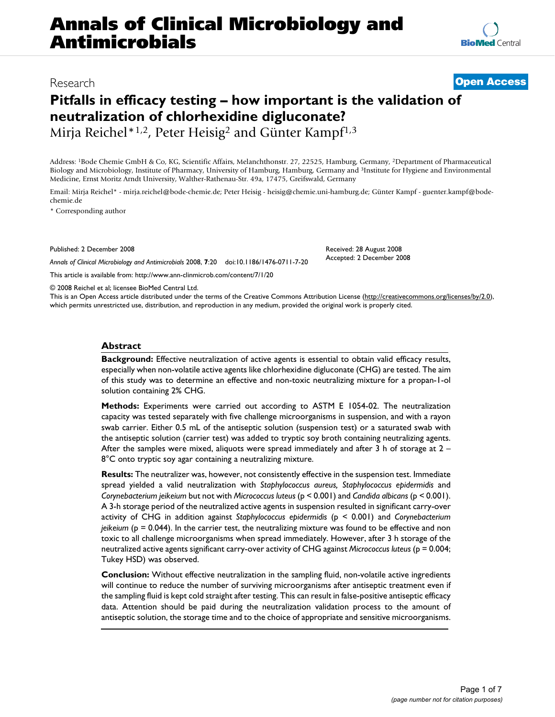# **Annals of Clinical Microbiology and Antimicrobials**

### Research **[Open Access](http://www.biomedcentral.com/info/about/charter/)**

## **Pitfalls in efficacy testing – how important is the validation of neutralization of chlorhexidine digluconate?** Mirja Reichel\*<sup>1,2</sup>, Peter Heisig<sup>2</sup> and Günter Kampf<sup>1,3</sup>

Address: 1Bode Chemie GmbH & Co, KG, Scientific Affairs, Melanchthonstr. 27, 22525, Hamburg, Germany, 2Department of Pharmaceutical Biology and Microbiology, Institute of Pharmacy, University of Hamburg, Hamburg, Germany and 3Institute for Hygiene and Environmental Medicine, Ernst Moritz Arndt University, Walther-Rathenau-Str. 49a, 17475, Greifswald, Germany

Email: Mirja Reichel\* - mirja.reichel@bode-chemie.de; Peter Heisig - heisig@chemie.uni-hamburg.de; Günter Kampf - guenter.kampf@bodechemie.de

\* Corresponding author

Published: 2 December 2008

*Annals of Clinical Microbiology and Antimicrobials* 2008, **7**:20 doi:10.1186/1476-0711-7-20 [This article is available from: http://www.ann-clinmicrob.com/content/7/1/20](http://www.ann-clinmicrob.com/content/7/1/20)

© 2008 Reichel et al; licensee BioMed Central Ltd.

This is an Open Access article distributed under the terms of the Creative Commons Attribution License [\(http://creativecommons.org/licenses/by/2.0\)](http://creativecommons.org/licenses/by/2.0), which permits unrestricted use, distribution, and reproduction in any medium, provided the original work is properly cited.

Received: 28 August 2008 Accepted: 2 December 2008

#### **Abstract**

**Background:** Effective neutralization of active agents is essential to obtain valid efficacy results, especially when non-volatile active agents like chlorhexidine digluconate (CHG) are tested. The aim of this study was to determine an effective and non-toxic neutralizing mixture for a propan-1-ol solution containing 2% CHG.

**Methods:** Experiments were carried out according to ASTM E 1054-02. The neutralization capacity was tested separately with five challenge microorganisms in suspension, and with a rayon swab carrier. Either 0.5 mL of the antiseptic solution (suspension test) or a saturated swab with the antiseptic solution (carrier test) was added to tryptic soy broth containing neutralizing agents. After the samples were mixed, aliquots were spread immediately and after 3 h of storage at  $2 -$ 8°C onto tryptic soy agar containing a neutralizing mixture.

**Results:** The neutralizer was, however, not consistently effective in the suspension test. Immediate spread yielded a valid neutralization with *Staphylococcus aureus, Staphylococcus epidermidis* and *Corynebacterium jeikeium* but not with *Micrococcus luteus* (p < 0.001) and *Candida albicans* (p < 0.001). A 3-h storage period of the neutralized active agents in suspension resulted in significant carry-over activity of CHG in addition against *Staphylococcus epidermidis* (p < 0.001) and *Corynebacterium jeikeium* ( $p = 0.044$ ). In the carrier test, the neutralizing mixture was found to be effective and non toxic to all challenge microorganisms when spread immediately. However, after 3 h storage of the neutralized active agents significant carry-over activity of CHG against *Micrococcus luteus* (p = 0.004; Tukey HSD) was observed.

**Conclusion:** Without effective neutralization in the sampling fluid, non-volatile active ingredients will continue to reduce the number of surviving microorganisms after antiseptic treatment even if the sampling fluid is kept cold straight after testing. This can result in false-positive antiseptic efficacy data. Attention should be paid during the neutralization validation process to the amount of antiseptic solution, the storage time and to the choice of appropriate and sensitive microorganisms.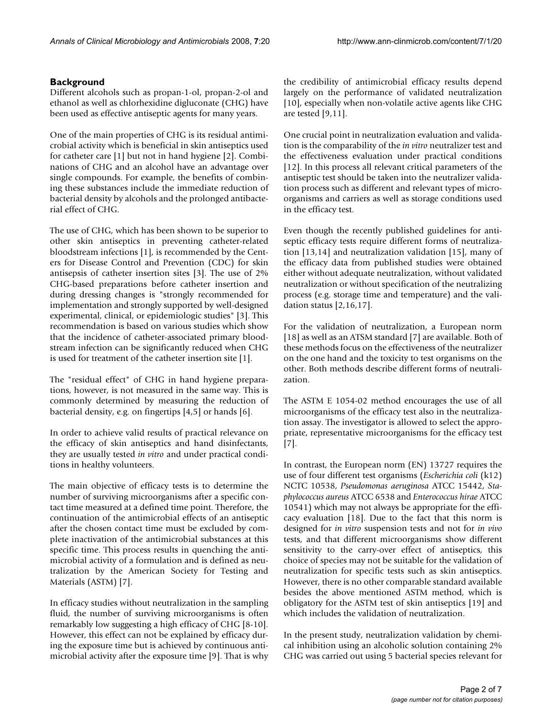#### **Background**

Different alcohols such as propan-1-ol, propan-2-ol and ethanol as well as chlorhexidine digluconate (CHG) have been used as effective antiseptic agents for many years.

One of the main properties of CHG is its residual antimicrobial activity which is beneficial in skin antiseptics used for catheter care [1] but not in hand hygiene [2]. Combinations of CHG and an alcohol have an advantage over single compounds. For example, the benefits of combining these substances include the immediate reduction of bacterial density by alcohols and the prolonged antibacterial effect of CHG.

The use of CHG, which has been shown to be superior to other skin antiseptics in preventing catheter-related bloodstream infections [1], is recommended by the Centers for Disease Control and Prevention (CDC) for skin antisepsis of catheter insertion sites [3]. The use of 2% CHG-based preparations before catheter insertion and during dressing changes is "strongly recommended for implementation and strongly supported by well-designed experimental, clinical, or epidemiologic studies" [3]. This recommendation is based on various studies which show that the incidence of catheter-associated primary bloodstream infection can be significantly reduced when CHG is used for treatment of the catheter insertion site [1].

The "residual effect" of CHG in hand hygiene preparations, however, is not measured in the same way. This is commonly determined by measuring the reduction of bacterial density, e.g. on fingertips [4,5] or hands [6].

In order to achieve valid results of practical relevance on the efficacy of skin antiseptics and hand disinfectants, they are usually tested *in vitro* and under practical conditions in healthy volunteers.

The main objective of efficacy tests is to determine the number of surviving microorganisms after a specific contact time measured at a defined time point. Therefore, the continuation of the antimicrobial effects of an antiseptic after the chosen contact time must be excluded by complete inactivation of the antimicrobial substances at this specific time. This process results in quenching the antimicrobial activity of a formulation and is defined as neutralization by the American Society for Testing and Materials (ASTM) [7].

In efficacy studies without neutralization in the sampling fluid, the number of surviving microorganisms is often remarkably low suggesting a high efficacy of CHG [8-10]. However, this effect can not be explained by efficacy during the exposure time but is achieved by continuous antimicrobial activity after the exposure time [9]. That is why the credibility of antimicrobial efficacy results depend largely on the performance of validated neutralization [10], especially when non-volatile active agents like CHG are tested [9,11].

One crucial point in neutralization evaluation and validation is the comparability of the *in vitro* neutralizer test and the effectiveness evaluation under practical conditions [12]. In this process all relevant critical parameters of the antiseptic test should be taken into the neutralizer validation process such as different and relevant types of microorganisms and carriers as well as storage conditions used in the efficacy test.

Even though the recently published guidelines for antiseptic efficacy tests require different forms of neutralization [13,14] and neutralization validation [15], many of the efficacy data from published studies were obtained either without adequate neutralization, without validated neutralization or without specification of the neutralizing process (e.g. storage time and temperature) and the validation status [2,16,17].

For the validation of neutralization, a European norm [18] as well as an ATSM standard [7] are available. Both of these methods focus on the effectiveness of the neutralizer on the one hand and the toxicity to test organisms on the other. Both methods describe different forms of neutralization.

The ASTM E 1054-02 method encourages the use of all microorganisms of the efficacy test also in the neutralization assay. The investigator is allowed to select the appropriate, representative microorganisms for the efficacy test [7].

In contrast, the European norm (EN) 13727 requires the use of four different test organisms (*Escherichia coli* (k12) NCTC 10538, *Pseudomonas aeruginosa* ATCC 15442, *Staphylococcus aureus* ATCC 6538 and *Enterococcus hirae* ATCC 10541) which may not always be appropriate for the efficacy evaluation [18]. Due to the fact that this norm is designed for *in vitro* suspension tests and not for *in vivo* tests, and that different microorganisms show different sensitivity to the carry-over effect of antiseptics, this choice of species may not be suitable for the validation of neutralization for specific tests such as skin antiseptics. However, there is no other comparable standard available besides the above mentioned ASTM method, which is obligatory for the ASTM test of skin antiseptics [19] and which includes the validation of neutralization.

In the present study, neutralization validation by chemical inhibition using an alcoholic solution containing 2% CHG was carried out using 5 bacterial species relevant for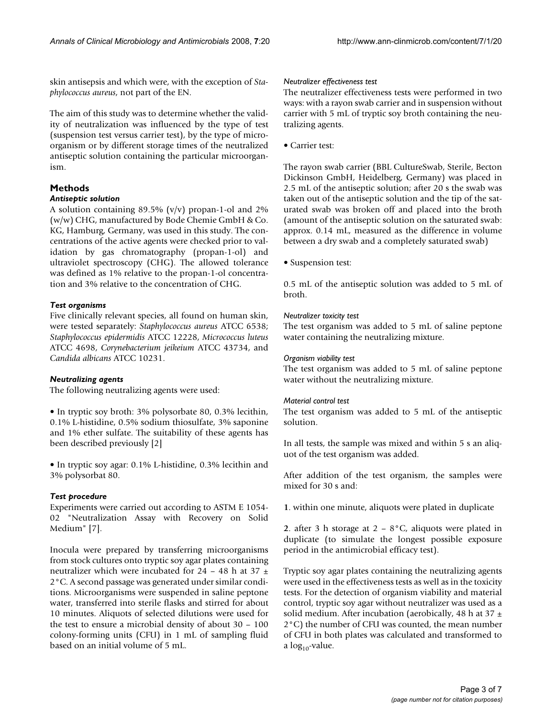skin antisepsis and which were, with the exception of *Staphylococcus aureus*, not part of the EN.

The aim of this study was to determine whether the validity of neutralization was influenced by the type of test (suspension test versus carrier test), by the type of microorganism or by different storage times of the neutralized antiseptic solution containing the particular microorganism.

#### **Methods**

#### *Antiseptic solution*

A solution containing 89.5% (v/v) propan-1-ol and 2% (w/w) CHG, manufactured by Bode Chemie GmbH & Co. KG, Hamburg, Germany, was used in this study. The concentrations of the active agents were checked prior to validation by gas chromatography (propan-1-ol) and ultraviolet spectroscopy (CHG). The allowed tolerance was defined as 1% relative to the propan-1-ol concentration and 3% relative to the concentration of CHG.

#### *Test organisms*

Five clinically relevant species, all found on human skin, were tested separately: *Staphylococcus aureus* ATCC 6538; *Staphylococcus epidermidis* ATCC 12228, *Micrococcus luteus* ATCC 4698, *Corynebacterium jeikeium* ATCC 43734, and *Candida albicans* ATCC 10231.

#### *Neutralizing agents*

The following neutralizing agents were used:

• In tryptic soy broth: 3% polysorbate 80, 0.3% lecithin, 0.1% L-histidine, 0.5% sodium thiosulfate, 3% saponine and 1% ether sulfate. The suitability of these agents has been described previously [2]

• In tryptic soy agar: 0.1% L-histidine, 0.3% lecithin and 3% polysorbat 80.

#### *Test procedure*

Experiments were carried out according to ASTM E 1054- 02 "Neutralization Assay with Recovery on Solid Medium" [7].

Inocula were prepared by transferring microorganisms from stock cultures onto tryptic soy agar plates containing neutralizer which were incubated for  $24 - 48$  h at  $37 \pm$ 2°C. A second passage was generated under similar conditions. Microorganisms were suspended in saline peptone water, transferred into sterile flasks and stirred for about 10 minutes. Aliquots of selected dilutions were used for the test to ensure a microbial density of about 30 – 100 colony-forming units (CFU) in 1 mL of sampling fluid based on an initial volume of 5 mL.

#### *Neutralizer effectiveness test*

The neutralizer effectiveness tests were performed in two ways: with a rayon swab carrier and in suspension without carrier with 5 mL of tryptic soy broth containing the neutralizing agents.

• Carrier test:

The rayon swab carrier (BBL CultureSwab, Sterile, Becton Dickinson GmbH, Heidelberg, Germany) was placed in 2.5 mL of the antiseptic solution; after 20 s the swab was taken out of the antiseptic solution and the tip of the saturated swab was broken off and placed into the broth (amount of the antiseptic solution on the saturated swab: approx. 0.14 mL, measured as the difference in volume between a dry swab and a completely saturated swab)

• Suspension test:

0.5 mL of the antiseptic solution was added to 5 mL of broth.

#### *Neutralizer toxicity test*

The test organism was added to 5 mL of saline peptone water containing the neutralizing mixture.

#### *Organism viability test*

The test organism was added to 5 mL of saline peptone water without the neutralizing mixture.

#### *Material control test*

The test organism was added to 5 mL of the antiseptic solution.

In all tests, the sample was mixed and within 5 s an aliquot of the test organism was added.

After addition of the test organism, the samples were mixed for 30 s and:

**1**. within one minute, aliquots were plated in duplicate

**2**. after 3 h storage at 2 – 8°C, aliquots were plated in duplicate (to simulate the longest possible exposure period in the antimicrobial efficacy test).

Tryptic soy agar plates containing the neutralizing agents were used in the effectiveness tests as well as in the toxicity tests. For the detection of organism viability and material control, tryptic soy agar without neutralizer was used as a solid medium. After incubation (aerobically, 48 h at  $37 \pm$ 2°C) the number of CFU was counted, the mean number of CFU in both plates was calculated and transformed to a  $log_{10}$ -value.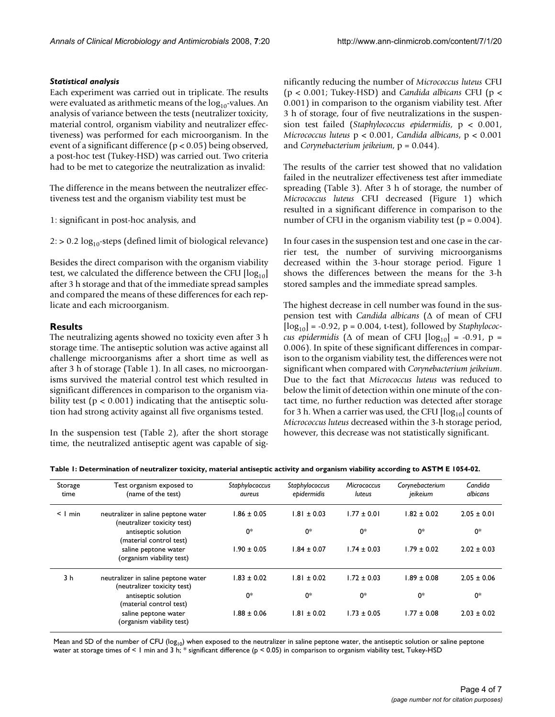#### *Statistical analysis*

Each experiment was carried out in triplicate. The results were evaluated as arithmetic means of the  $log_{10}$ -values. An analysis of variance between the tests (neutralizer toxicity, material control, organism viability and neutralizer effectiveness) was performed for each microorganism. In the event of a significant difference (p < 0.05) being observed, a post-hoc test (Tukey-HSD) was carried out. Two criteria had to be met to categorize the neutralization as invalid:

The difference in the means between the neutralizer effectiveness test and the organism viability test must be

1: significant in post-hoc analysis, and

 $2:$  > 0.2 log<sub>10</sub>-steps (defined limit of biological relevance)

Besides the direct comparison with the organism viability test, we calculated the difference between the CFU  $\lceil log_{10} \rceil$ after 3 h storage and that of the immediate spread samples and compared the means of these differences for each replicate and each microorganism.

#### **Results**

The neutralizing agents showed no toxicity even after 3 h storage time. The antiseptic solution was active against all challenge microorganisms after a short time as well as after 3 h of storage (Table 1). In all cases, no microorganisms survived the material control test which resulted in significant differences in comparison to the organism viability test ( $p < 0.001$ ) indicating that the antiseptic solution had strong activity against all five organisms tested.

In the suspension test (Table 2), after the short storage time, the neutralized antiseptic agent was capable of significantly reducing the number of *Micrococcus luteus* CFU (p < 0.001; Tukey-HSD) and *Candida albicans* CFU (p < 0.001) in comparison to the organism viability test. After 3 h of storage, four of five neutralizations in the suspension test failed (*Staphylococcus epidermidis*, p < 0.001, *Micrococcus luteus* p < 0.001, *Candida albicans*, p < 0.001 and *Corynebacterium jeikeium*, p = 0.044).

The results of the carrier test showed that no validation failed in the neutralizer effectiveness test after immediate spreading (Table 3). After 3 h of storage, the number of *Micrococcus luteus* CFU decreased (Figure 1) which resulted in a significant difference in comparison to the number of CFU in the organism viability test ( $p = 0.004$ ).

In four cases in the suspension test and one case in the carrier test, the number of surviving microorganisms decreased within the 3-hour storage period. Figure 1 shows the differences between the means for the 3-h stored samples and the immediate spread samples.

The highest decrease in cell number was found in the suspension test with *Candida albicans* (Δ of mean of CFU  $[log_{10}] = -0.92$ ,  $p = 0.004$ , t-test), followed by *Staphylococcus epidermidis* ( $\triangle$  of mean of CFU  $\log_{10}$  = -0.91, p = 0.006). In spite of these significant differences in comparison to the organism viability test, the differences were not significant when compared with *Corynebacterium jeikeium*. Due to the fact that *Micrococcus luteus* was reduced to below the limit of detection within one minute of the contact time, no further reduction was detected after storage for 3 h. When a carrier was used, the CFU  $\lceil log_{10} \rceil$  counts of *Micrococcus luteus* decreased within the 3-h storage period, however, this decrease was not statistically significant.

| Storage<br>time | Test organism exposed to<br>(name of the test)                     | Staphylococcus<br><i>aureus</i> | Staphylococcus<br>epidermidis | Micrococcus<br>luteus | Corynebacterium<br>jeikeium | Candida<br>albicans |
|-----------------|--------------------------------------------------------------------|---------------------------------|-------------------------------|-----------------------|-----------------------------|---------------------|
| $\leq$ 1 min    | neutralizer in saline peptone water<br>(neutralizer toxicity test) | $1.86 \pm 0.05$                 | $1.81 \pm 0.03$               | $1.77 \pm 0.01$       | $1.82 \pm 0.02$             | $2.05 \pm 0.01$     |
|                 | antiseptic solution<br>(material control test)                     | 0*                              | 0*                            | 0*                    | 0*                          | 0*                  |
|                 | saline peptone water<br>(organism viability test)                  | $1.90 \pm 0.05$                 | $1.84 \pm 0.07$               | $1.74 \pm 0.03$       | $1.79 \pm 0.02$             | $2.02 \pm 0.03$     |
| 3 h             | neutralizer in saline peptone water<br>(neutralizer toxicity test) | $1.83 \pm 0.02$                 | $1.81 \pm 0.02$               | $1.72 \pm 0.03$       | $1.89 \pm 0.08$             | $2.05 \pm 0.06$     |
|                 | antiseptic solution<br>(material control test)                     | 0*                              | 0*                            | 0*                    | 0*                          | 0*                  |
|                 | saline peptone water<br>(organism viability test)                  | $1.88 \pm 0.06$                 | $1.81 \pm 0.02$               | $1.73 \pm 0.05$       | $1.77 \pm 0.08$             | $2.03 \pm 0.02$     |

**Table 1: Determination of neutralizer toxicity, material antiseptic activity and organism viability according to ASTM E 1054-02.**

Mean and SD of the number of CFU ( $log_{10}$ ) when exposed to the neutralizer in saline peptone water, the antiseptic solution or saline peptone water at storage times of < 1 min and 3 h; \* significant difference (p < 0.05) in comparison to organism viability test, Tukey-HSD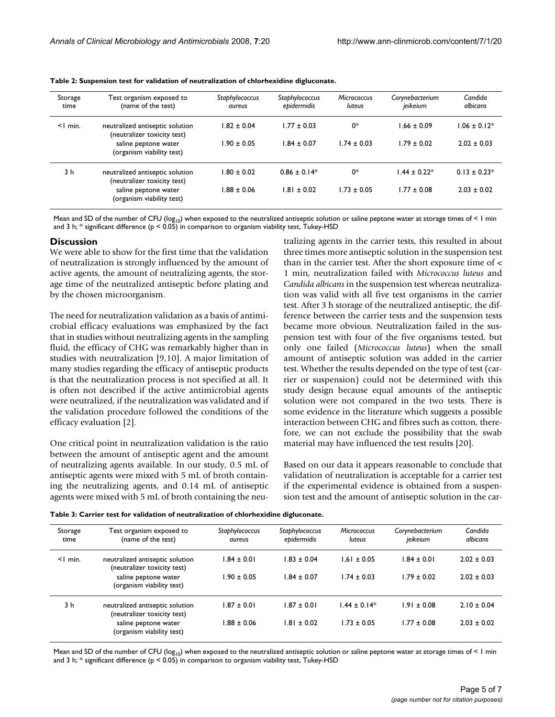| Storage<br>time | Test organism exposed to<br>(name of the test)                 | Staphylococcus<br>aureus | Staphylococcus<br>epidermidis | Micrococcus<br>luteus | Corynebacterium<br>jeikeium | Candida<br>albicans |
|-----------------|----------------------------------------------------------------|--------------------------|-------------------------------|-----------------------|-----------------------------|---------------------|
| $<$ min.        | neutralized antiseptic solution<br>(neutralizer toxicity test) | $1.82 \pm 0.04$          | l 77 + 0.03                   | 0*                    | $1.66 \pm 0.09$             | $1.06 \pm 0.12^*$   |
|                 | saline peptone water<br>(organism viability test)              | $.90 + 0.05$             | $1.84 + 0.07$                 | $1.74 + 0.03$         | $1.79 \pm 0.02$             | $2.02 \pm 0.03$     |
| 3 h             | neutralized antiseptic solution<br>(neutralizer toxicity test) | $1.80 \pm 0.02$          | $0.86 \pm 0.14*$              | 0*                    | $.44 \pm 0.22*$             | $0.13 \pm 0.23*$    |
|                 | saline peptone water<br>(organism viability test)              | $.88 \pm 0.06$           | $.81 + 0.02$                  | $1.73 + 0.05$         | $1.77 + 0.08$               | $2.03 \pm 0.02$     |

**Table 2: Suspension test for validation of neutralization of chlorhexidine digluconate.**

Mean and SD of the number of CFU ( $log_{10}$ ) when exposed to the neutralized antiseptic solution or saline peptone water at storage times of < 1 min and 3 h;  $*$  significant difference ( $p < 0.05$ ) in comparison to organism viability test, Tukey-HSD

#### **Discussion**

We were able to show for the first time that the validation of neutralization is strongly influenced by the amount of active agents, the amount of neutralizing agents, the storage time of the neutralized antiseptic before plating and by the chosen microorganism.

The need for neutralization validation as a basis of antimicrobial efficacy evaluations was emphasized by the fact that in studies without neutralizing agents in the sampling fluid, the efficacy of CHG was remarkably higher than in studies with neutralization [9,10]. A major limitation of many studies regarding the efficacy of antiseptic products is that the neutralization process is not specified at all. It is often not described if the active antimicrobial agents were neutralized, if the neutralization was validated and if the validation procedure followed the conditions of the efficacy evaluation [2].

One critical point in neutralization validation is the ratio between the amount of antiseptic agent and the amount of neutralizing agents available. In our study, 0.5 mL of antiseptic agents were mixed with 5 mL of broth containing the neutralizing agents, and 0.14 mL of antiseptic agents were mixed with 5 mL of broth containing the neutralizing agents in the carrier tests, this resulted in about three times more antiseptic solution in the suspension test than in the carrier test. After the short exposure time of < 1 min, neutralization failed with *Micrococcus luteus* and *Candida albicans* in the suspension test whereas neutralization was valid with all five test organisms in the carrier test. After 3 h storage of the neutralized antiseptic, the difference between the carrier tests and the suspension tests became more obvious. Neutralization failed in the suspension test with four of the five organisms tested, but only one failed (*Micrococcus luteus*) when the small amount of antiseptic solution was added in the carrier test. Whether the results depended on the type of test (carrier or suspension) could not be determined with this study design because equal amounts of the antiseptic solution were not compared in the two tests. There is some evidence in the literature which suggests a possible interaction between CHG and fibres such as cotton, therefore, we can not exclude the possibility that the swab material may have influenced the test results [20].

Based on our data it appears reasonable to conclude that validation of neutralization is acceptable for a carrier test if the experimental evidence is obtained from a suspension test and the amount of antiseptic solution in the car-

| Table 3: Carrier test for validation of neutralization of chlorhexidine digluconate. |  |  |  |
|--------------------------------------------------------------------------------------|--|--|--|
|--------------------------------------------------------------------------------------|--|--|--|

| Storage<br>time | Test organism exposed to<br>(name of the test)                 | Staphylococcus<br>aureus | Staphylococcus<br>epidermidis | Micrococcus<br>luteus | Corynebacterium<br>jeikeium | Candida<br>albicans |
|-----------------|----------------------------------------------------------------|--------------------------|-------------------------------|-----------------------|-----------------------------|---------------------|
| $\leq$ min.     | neutralized antiseptic solution<br>(neutralizer toxicity test) | $1.84 + 0.01$            | $1.83 \pm 0.04$               | $1.61 \pm 0.05$       | $1.84 \pm 0.01$             | $2.02 \pm 0.03$     |
|                 | saline peptone water<br>(organism viability test)              | $1.90 \pm 0.05$          | $1.84 \pm 0.07$               | $1.74 \pm 0.03$       | $1.79 \pm 0.02$             | $2.02 \pm 0.03$     |
| 3 h             | neutralized antiseptic solution<br>(neutralizer toxicity test) | l.87 ± 0.01              | $1.87 \pm 0.01$               | $1.44 \pm 0.14*$      | $1.91 \pm 0.08$             | $2.10 \pm 0.04$     |
|                 | saline peptone water<br>(organism viability test)              | $.88 \pm 0.06$           | $1.81 + 0.02$                 | $1.73 + 0.05$         | $1.77 + 0.08$               | $2.03 + 0.02$       |

Mean and SD of the number of CFU ( $log_{10}$ ) when exposed to the neutralized antiseptic solution or saline peptone water at storage times of < 1 min and 3 h; \* significant difference (p < 0.05) in comparison to organism viability test, Tukey-HSD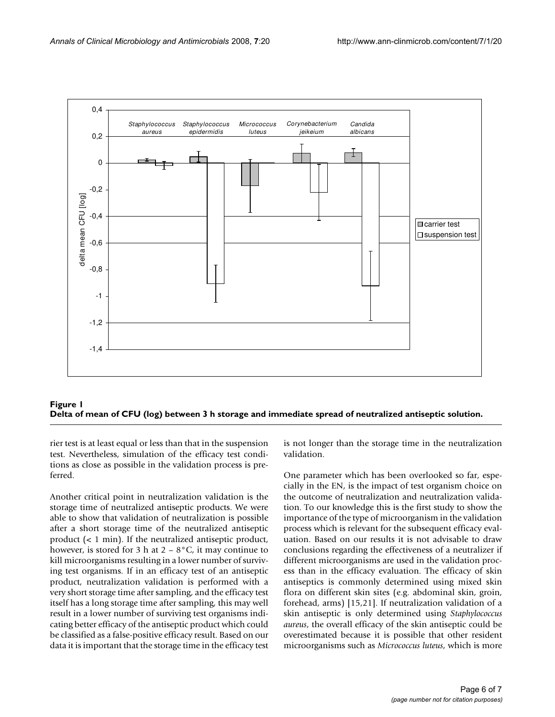



rier test is at least equal or less than that in the suspension test. Nevertheless, simulation of the efficacy test conditions as close as possible in the validation process is preferred.

Another critical point in neutralization validation is the storage time of neutralized antiseptic products. We were able to show that validation of neutralization is possible after a short storage time of the neutralized antiseptic product (< 1 min). If the neutralized antiseptic product, however, is stored for 3 h at  $2 - 8$ °C, it may continue to kill microorganisms resulting in a lower number of surviving test organisms. If in an efficacy test of an antiseptic product, neutralization validation is performed with a very short storage time after sampling, and the efficacy test itself has a long storage time after sampling, this may well result in a lower number of surviving test organisms indicating better efficacy of the antiseptic product which could be classified as a false-positive efficacy result. Based on our data it is important that the storage time in the efficacy test is not longer than the storage time in the neutralization validation.

One parameter which has been overlooked so far, especially in the EN, is the impact of test organism choice on the outcome of neutralization and neutralization validation. To our knowledge this is the first study to show the importance of the type of microorganism in the validation process which is relevant for the subsequent efficacy evaluation. Based on our results it is not advisable to draw conclusions regarding the effectiveness of a neutralizer if different microorganisms are used in the validation process than in the efficacy evaluation. The efficacy of skin antiseptics is commonly determined using mixed skin flora on different skin sites (e.g. abdominal skin, groin, forehead, arms) [15,21]. If neutralization validation of a skin antiseptic is only determined using *Staphylococcus aureus*, the overall efficacy of the skin antiseptic could be overestimated because it is possible that other resident microorganisms such as *Micrococcus luteus*, which is more